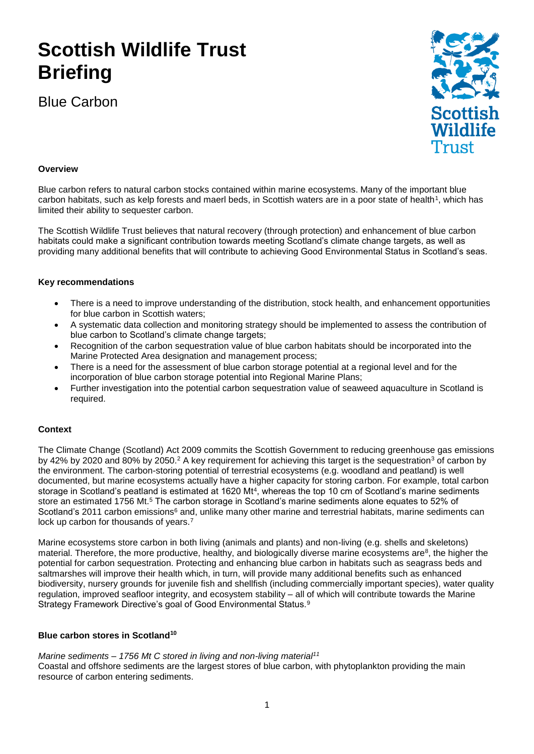# **Scottish Wildlife Trust Briefing**

Blue Carbon



# **Overview**

Blue carbon refers to natural carbon stocks contained within marine ecosystems. Many of the important blue carbon habitats, such as kelp forests and maerl beds, in Scottish waters are in a poor state of health<sup>1</sup>, which has limited their ability to sequester carbon.

The Scottish Wildlife Trust believes that natural recovery (through protection) and enhancement of blue carbon habitats could make a significant contribution towards meeting Scotland's climate change targets, as well as providing many additional benefits that will contribute to achieving Good Environmental Status in Scotland's seas.

## **Key recommendations**

- There is a need to improve understanding of the distribution, stock health, and enhancement opportunities for blue carbon in Scottish waters;
- A systematic data collection and monitoring strategy should be implemented to assess the contribution of blue carbon to Scotland's climate change targets;
- Recognition of the carbon sequestration value of blue carbon habitats should be incorporated into the Marine Protected Area designation and management process;
- There is a need for the assessment of blue carbon storage potential at a regional level and for the incorporation of blue carbon storage potential into Regional Marine Plans;
- Further investigation into the potential carbon sequestration value of seaweed aquaculture in Scotland is required.

### **Context**

The Climate Change (Scotland) Act 2009 commits the Scottish Government to reducing greenhouse gas emissions by 42% by 2020 and 80% by 2050.<sup>2</sup> A key requirement for achieving this target is the sequestration<sup>3</sup> of carbon by the environment. The carbon-storing potential of terrestrial ecosystems (e.g. woodland and peatland) is well documented, but marine ecosystems actually have a higher capacity for storing carbon. For example, total carbon storage in Scotland's peatland is estimated at 1620 Mt<sup>4</sup>, whereas the top 10 cm of Scotland's marine sediments store an estimated 1756 Mt.<sup>5</sup> The carbon storage in Scotland's marine sediments alone equates to 52% of Scotland's 2011 carbon emissions<sup>6</sup> and, unlike many other marine and terrestrial habitats, marine sediments can lock up carbon for thousands of years.<sup>7</sup>

Marine ecosystems store carbon in both living (animals and plants) and non-living (e.g. shells and skeletons) material. Therefore, the more productive, healthy, and biologically diverse marine ecosystems are<sup>8</sup>, the higher the potential for carbon sequestration. Protecting and enhancing blue carbon in habitats such as seagrass beds and saltmarshes will improve their health which, in turn, will provide many additional benefits such as enhanced biodiversity, nursery grounds for juvenile fish and shellfish (including commercially important species), water quality regulation, improved seafloor integrity, and ecosystem stability – all of which will contribute towards the Marine Strategy Framework Directive's goal of Good Environmental Status.<sup>9</sup>

### **Blue carbon stores in Scotland<sup>10</sup>**

### *Marine sediments – 1756 Mt C stored in living and non-living material<sup>11</sup>*

Coastal and offshore sediments are the largest stores of blue carbon, with phytoplankton providing the main resource of carbon entering sediments.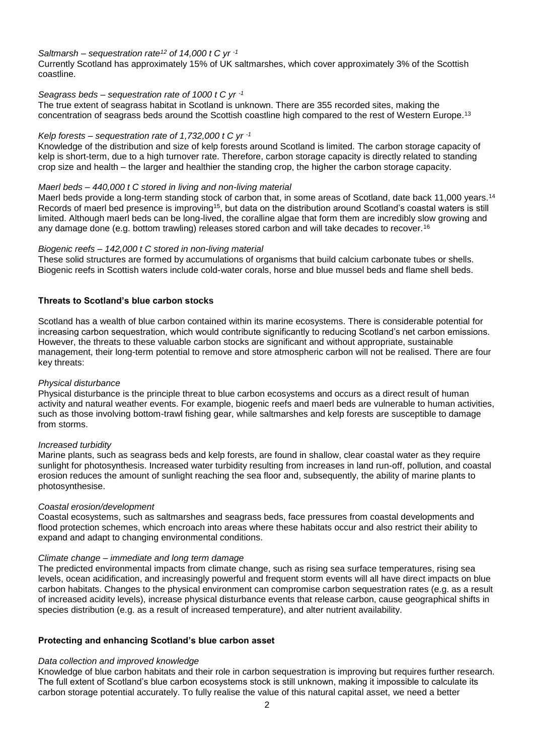## *Saltmarsh – sequestration rate<sup>12</sup> of 14,000 t C yr -1*

Currently Scotland has approximately 15% of UK saltmarshes, which cover approximately 3% of the Scottish coastline.

## *Seagrass beds – sequestration rate of 1000 t C yr -1*

The true extent of seagrass habitat in Scotland is unknown. There are 355 recorded sites, making the concentration of seagrass beds around the Scottish coastline high compared to the rest of Western Europe.<sup>13</sup>

## *Kelp forests – sequestration rate of 1,732,000 t C yr -1*

Knowledge of the distribution and size of kelp forests around Scotland is limited. The carbon storage capacity of kelp is short-term, due to a high turnover rate. Therefore, carbon storage capacity is directly related to standing crop size and health – the larger and healthier the standing crop, the higher the carbon storage capacity.

## *Maerl beds – 440,000 t C stored in living and non-living material*

Maerl beds provide a long-term standing stock of carbon that, in some areas of Scotland, date back 11,000 years.<sup>14</sup> Records of maerl bed presence is improving<sup>15</sup>, but data on the distribution around Scotland's coastal waters is still limited. Although maerl beds can be long-lived, the coralline algae that form them are incredibly slow growing and any damage done (e.g. bottom trawling) releases stored carbon and will take decades to recover.<sup>16</sup>

## *Biogenic reefs – 142,000 t C stored in non-living material*

These solid structures are formed by accumulations of organisms that build calcium carbonate tubes or shells. Biogenic reefs in Scottish waters include cold-water corals, horse and blue mussel beds and flame shell beds.

## **Threats to Scotland's blue carbon stocks**

Scotland has a wealth of blue carbon contained within its marine ecosystems. There is considerable potential for increasing carbon sequestration, which would contribute significantly to reducing Scotland's net carbon emissions. However, the threats to these valuable carbon stocks are significant and without appropriate, sustainable management, their long-term potential to remove and store atmospheric carbon will not be realised. There are four key threats:

### *Physical disturbance*

Physical disturbance is the principle threat to blue carbon ecosystems and occurs as a direct result of human activity and natural weather events. For example, biogenic reefs and maerl beds are vulnerable to human activities, such as those involving bottom-trawl fishing gear, while saltmarshes and kelp forests are susceptible to damage from storms.

### *Increased turbidity*

Marine plants, such as seagrass beds and kelp forests, are found in shallow, clear coastal water as they require sunlight for photosynthesis. Increased water turbidity resulting from increases in land run-off, pollution, and coastal erosion reduces the amount of sunlight reaching the sea floor and, subsequently, the ability of marine plants to photosynthesise.

### *Coastal erosion/development*

Coastal ecosystems, such as saltmarshes and seagrass beds, face pressures from coastal developments and flood protection schemes, which encroach into areas where these habitats occur and also restrict their ability to expand and adapt to changing environmental conditions.

### *Climate change – immediate and long term damage*

The predicted environmental impacts from climate change, such as rising sea surface temperatures, rising sea levels, ocean acidification, and increasingly powerful and frequent storm events will all have direct impacts on blue carbon habitats. Changes to the physical environment can compromise carbon sequestration rates (e.g. as a result of increased acidity levels), increase physical disturbance events that release carbon, cause geographical shifts in species distribution (e.g. as a result of increased temperature), and alter nutrient availability.

# **Protecting and enhancing Scotland's blue carbon asset**

### *Data collection and improved knowledge*

Knowledge of blue carbon habitats and their role in carbon sequestration is improving but requires further research. The full extent of Scotland's blue carbon ecosystems stock is still unknown, making it impossible to calculate its carbon storage potential accurately. To fully realise the value of this natural capital asset, we need a better